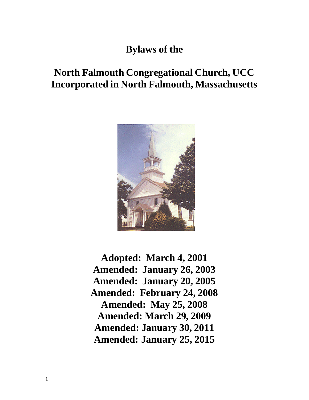## **Bylaws of the**

# **North Falmouth Congregational Church, UCC Incorporated in North Falmouth, Massachusetts**



**Adopted: March 4, 2001 Amended: January 26, 2003 Amended: January 20, 2005 Amended: February 24, 2008 Amended: May 25, 2008 Amended: March 29, 2009 Amended: January 30, 2011 Amended: January 25, 2015**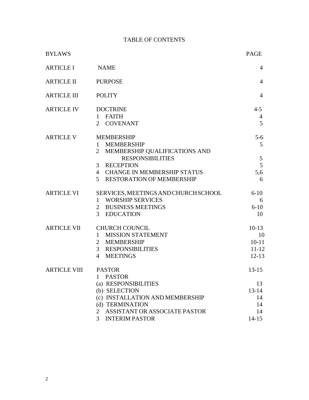## TABLE OF CONTENTS

| <b>BYLAWS</b>              |                                                                                                                                                                                                | <b>PAGE</b>                                                 |
|----------------------------|------------------------------------------------------------------------------------------------------------------------------------------------------------------------------------------------|-------------------------------------------------------------|
| <b>ARTICLE I</b>           | <b>NAME</b>                                                                                                                                                                                    | $\overline{4}$                                              |
| <b>ARTICLE II</b>          | <b>PURPOSE</b>                                                                                                                                                                                 | $\overline{4}$                                              |
| <b>ARTICLE III</b>         | <b>POLITY</b>                                                                                                                                                                                  | $\overline{4}$                                              |
| <b>ARTICLE IV</b>          | <b>DOCTRINE</b><br>1 FAITH<br>2 COVENANT                                                                                                                                                       | $4 - 5$<br>4<br>5                                           |
| <b>ARTICLE V</b>           | <b>MEMBERSHIP</b><br>1 MEMBERSHIP<br>MEMBERSHIP QUALIFICATIONS AND<br>$\overline{2}$<br><b>RESPONSIBILITIES</b><br>3 RECEPTION<br>4 CHANGE IN MEMBERSHIP STATUS<br>5 RESTORATION OF MEMBERSHIP | $5 - 6$<br>5 <sup>5</sup><br>5<br>5<br>5,6<br>6             |
| <b>ARTICLE VI</b>          | SERVICES, MEETINGS AND CHURCH SCHOOL<br><b>WORSHIP SERVICES</b><br>$\mathbf{1}$<br>2 BUSINESS MEETINGS<br>3 EDUCATION                                                                          | $6 - 10$<br>6<br>$6 - 10$<br>10                             |
| ARTICLE VII                | <b>CHURCH COUNCIL</b><br>1 MISSION STATEMENT<br>MEMBERSHIP<br>$\overline{2}$<br>$\mathfrak{Z}$<br><b>RESPONSIBILITIES</b><br>$\overline{4}$<br><b>MEETINGS</b>                                 | $10-13$<br>10<br>$10 - 11$<br>$11 - 12$<br>$12 - 13$        |
| <b>ARTICLE VIII PASTOR</b> | <b>PASTOR</b><br>1<br>(a) RESPONSIBILITIES<br>(b) SELECTION<br>(c) INSTALLATION AND MEMBERSHIP<br>(d) TERMINATION<br>ASSISTANT OR ASSOCIATE PASTOR<br>2<br><b>INTERIM PASTOR</b><br>3          | $13 - 15$<br>13<br>$13 - 14$<br>14<br>14<br>14<br>$14 - 15$ |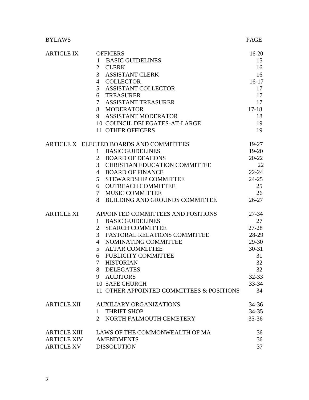## BYLAWS PAGE

| <b>ARTICLE IX</b>   | <b>OFFICERS</b>                                        | $16 - 20$ |
|---------------------|--------------------------------------------------------|-----------|
|                     | <b>BASIC GUIDELINES</b><br>$\mathbf{1}$                | 15        |
|                     | $\overline{2}$<br><b>CLERK</b>                         | 16        |
|                     | 3 ASSISTANT CLERK                                      | 16        |
|                     | 4 COLLECTOR                                            | $16-17$   |
|                     | 5 ASSISTANT COLLECTOR                                  | 17        |
|                     | 6 TREASURER                                            | 17        |
|                     | 7 ASSISTANT TREASURER                                  | 17        |
|                     | 8 MODERATOR                                            | $17 - 18$ |
|                     | 9 ASSISTANT MODERATOR                                  | 18        |
|                     | 10 COUNCIL DELEGATES-AT-LARGE                          | 19        |
|                     | 11 OTHER OFFICERS                                      | 19        |
|                     | ARTICLE X ELECTED BOARDS AND COMMITTEES                | $19-27$   |
|                     | 1 BASIC GUIDELINES                                     | $19 - 20$ |
|                     | 2 BOARD OF DEACONS                                     | $20 - 22$ |
|                     | 3 <sup>7</sup><br><b>CHRISTIAN EDUCATION COMMITTEE</b> | 22        |
|                     | 4 BOARD OF FINANCE                                     | $22 - 24$ |
|                     | 5 <sup>1</sup><br>STEWARDSHIP COMMITTEE                | $24 - 25$ |
|                     | <b>OUTREACH COMMITTEE</b><br>6                         | 25        |
|                     | 7 MUSIC COMMITTEE                                      | 26        |
|                     | 8<br>BUILDING AND GROUNDS COMMITTEE                    | $26-27$   |
| <b>ARTICLE XI</b>   | APPOINTED COMMITTEES AND POSITIONS                     | $27 - 34$ |
|                     | <b>BASIC GUIDELINES</b><br>$\mathbf{1}$                | 27        |
|                     | $\overline{2}$<br><b>SEARCH COMMITTEE</b>              | $27 - 28$ |
|                     | 3 PASTORAL RELATIONS COMMITTEE                         | 28-29     |
|                     | 4 NOMINATING COMMITTEE                                 | $29 - 30$ |
|                     | 5 ALTAR COMMITTEE                                      | $30 - 31$ |
|                     | 6 PUBLICITY COMMITTEE                                  | 31        |
|                     | 7 HISTORIAN                                            | 32        |
|                     | <b>DELEGATES</b><br>8                                  | 32        |
|                     | 9 AUDITORS                                             | $32 - 33$ |
|                     | <b>10 SAFE CHURCH</b>                                  | $33 - 34$ |
|                     | 11 OTHER APPOINTED COMMITTEES & POSITIONS              | 34        |
| <b>ARTICLE XII</b>  | <b>AUXILIARY ORGANIZATIONS</b>                         | $34 - 36$ |
|                     | <b>THRIFT SHOP</b><br>1                                | $34 - 35$ |
|                     | NORTH FALMOUTH CEMETERY<br>$\mathfrak{D}$              | $35 - 36$ |
| <b>ARTICLE XIII</b> | LAWS OF THE COMMONWEALTH OF MA                         | 36        |
| <b>ARTICLE XIV</b>  | <b>AMENDMENTS</b>                                      | 36        |
| <b>ARTICLE XV</b>   | <b>DISSOLUTION</b>                                     | 37        |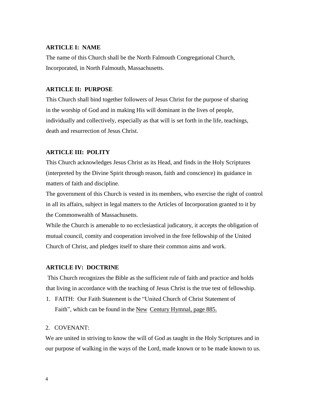#### **ARTICLE I: NAME**

The name of this Church shall be the North Falmouth Congregational Church, Incorporated, in North Falmouth, Massachusetts.

#### **ARTICLE II: PURPOSE**

This Church shall bind together followers of Jesus Christ for the purpose of sharing in the worship of God and in making His will dominant in the lives of people, individually and collectively, especially as that will is set forth in the life, teachings, death and resurrection of Jesus Christ.

#### **ARTICLE III: POLITY**

This Church acknowledges Jesus Christ as its Head, and finds in the Holy Scriptures (interpreted by the Divine Spirit through reason, faith and conscience) its guidance in matters of faith and discipline.

The government of this Church is vested in its members, who exercise the right of control in all its affairs, subject in legal matters to the Articles of Incorporation granted to it by the Commonwealth of Massachusetts.

While the Church is amenable to no ecclesiastical judicatory, it accepts the obligation of mutual council, comity and cooperation involved in the free fellowship of the United Church of Christ, and pledges itself to share their common aims and work.

#### **ARTICLE IV: DOCTRINE**

This Church recognizes the Bible as the sufficient rule of faith and practice and holds that living in accordance with the teaching of Jesus Christ is the true test of fellowship.

1. FAITH: Our Faith Statement is the "United Church of Christ Statement of Faith", which can be found in the New Century Hymnal, page 885.

#### 2. COVENANT:

We are united in striving to know the will of God as taught in the Holy Scriptures and in our purpose of walking in the ways of the Lord, made known or to be made known to us.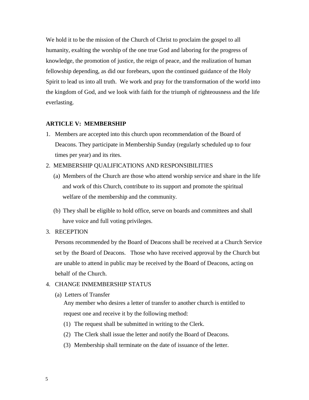We hold it to be the mission of the Church of Christ to proclaim the gospel to all humanity, exalting the worship of the one true God and laboring for the progress of knowledge, the promotion of justice, the reign of peace, and the realization of human fellowship depending, as did our forebears, upon the continued guidance of the Holy Spirit to lead us into all truth. We work and pray for the transformation of the world into the kingdom of God, and we look with faith for the triumph of righteousness and the life everlasting.

## **ARTICLE V: MEMBERSHIP**

1. Members are accepted into this church upon recommendation of the Board of Deacons. They participate in Membership Sunday (regularly scheduled up to four times per year) and its rites.

2. MEMBERSHIP QUALIFICATIONS AND RESPONSIBILITIES

- (a) Members of the Church are those who attend worship service and share in the life and work of this Church, contribute to its support and promote the spiritual welfare of the membership and the community.
- (b) They shall be eligible to hold office, serve on boards and committees and shall have voice and full voting privileges.
- 3. RECEPTION

Persons recommended by the Board of Deacons shall be received at a Church Service set by the Board of Deacons. Those who have received approval by the Church but are unable to attend in public may be received by the Board of Deacons, acting on behalf of the Church.

## 4. CHANGE INMEMBERSHIP STATUS

(a) Letters of Transfer

Any member who desires a letter of transfer to another church is entitled to request one and receive it by the following method:

- (1) The request shall be submitted in writing to the Clerk.
- (2) The Clerk shall issue the letter and notify the Board of Deacons.
- (3) Membership shall terminate on the date of issuance of the letter.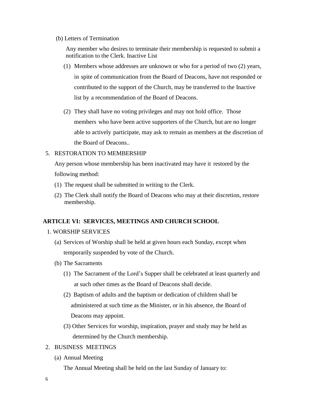(b) Letters of Termination

Any member who desires to terminate their membership is requested to submit a notification to the Clerk. Inactive List

- (1) Members whose addresses are unknown or who for a period of two (2) years, in spite of communication from the Board of Deacons, have not responded or contributed to the support of the Church, may be transferred to the Inactive list by a recommendation of the Board of Deacons.
- (2) They shall have no voting privileges and may not hold office. Those members who have been active supporters of the Church, but are no longer able to actively participate, may ask to remain as members at the discretion of the Board of Deacons..

## 5. RESTORATION TO MEMBERSHIP

Any person whose membership has been inactivated may have it restored by the following method:

- (1) The request shall be submitted in writing to the Clerk.
- (2) The Clerk shall notify the Board of Deacons who may at their discretion, restore membership.

## <span id="page-5-0"></span>**ARTICLE VI: SERVICES, MEETINGS AND CHURCH SCHOOL**

## 1. WORSHIP SERVICES

- (a) Services of Worship shall be held at given hours each Sunday, except when temporarily suspended by vote of the Church.
- (b) The Sacraments
	- (1) The Sacrament of the Lord's Supper shall be celebrated at least quarterly and at such other times as the Board of Deacons shall decide.
	- (2) Baptism of adults and the baptism or dedication of children shall be administered at such time as the Minister, or in his absence, the Board of Deacons may appoint.
	- (3) Other Services for worship, inspiration, prayer and study may be held as determined by the Church membership.
- 2. BUSINESS MEETINGS
	- (a) Annual Meeting

The Annual Meeting shall be held on the last Sunday of January to: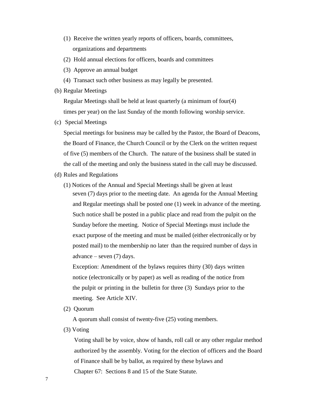- (1) Receive the written yearly reports of officers, boards, committees, organizations and departments
- (2) Hold annual elections for officers, boards and committees
- (3) Approve an annual budget
- (4) Transact such other business as may legally be presented.
- (b) Regular Meetings

Regular Meetings shall be held at least quarterly (a minimum of four(4) times per year) on the last Sunday of the month following worship service.

(c) Special Meetings

Special meetings for business may be called by the Pastor, the Board of Deacons, the Board of Finance, the Church Council or by the Clerk on the written request of five (5) members of the Church. The nature of the business shall be stated in the call of the meeting and only the business stated in the call may be discussed.

- (d) Rules and Regulations
	- (1) Notices of the Annual and Special Meetings shall be given at least seven (7) days prior to the meeting date. An agenda for the Annual Meeting and Regular meetings shall be posted one (1) week in advance of the meeting. Such notice shall be posted in a public place and read from the pulpit on the Sunday before the meeting. Notice of Special Meetings must include the exact purpose of the meeting and must be mailed (either electronically or by posted mail) to the membership no later than the required number of days in advance – seven (7) days.

Exception: Amendment of the bylaws requires thirty (30) days written notice (electronically or by paper) as well as reading of the notice from the pulpit or printing in the bulletin for three (3) Sundays prior to the meeting. See Article XIV.

(2) Quorum

A quorum shall consist of twenty-five (25) voting members.

(3) Voting

Voting shall be by voice, show of hands, roll call or any other regular method authorized by the assembly. Voting for the election of officers and the Board of Finance shall be by ballot, as required by these bylaws and Chapter 67: Sections 8 and 15 of the State Statute.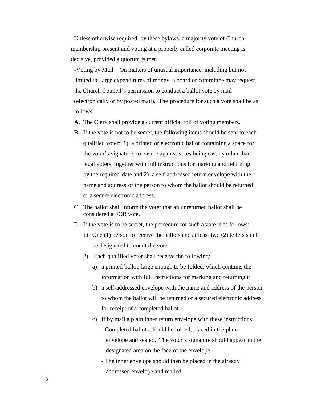Unless otherwise required by these bylaws, a majority vote of Church membership present and voting at a properly called corporate meeting is decisive, provided a quorum is met.

-Voting by Mail – On matters of unusual importance, including but not limited to, large expenditures of money, a board or committee may request the Church Council's permission to conduct a ballot vote by mail (electronically or by posted mail). The procedure for such a vote shall be as follows:

- A. The Clerk shall provide a current official roll of voting members.
- B. If the vote is not to be secret, the following items should be sent to each qualified voter: 1) a printed or electronic ballot containing a space for the voter's signature, to ensure against votes being cast by other than legal voters, together with full instructions for marking and returning by the required date and 2) a self-addressed return envelope with the name and address of the person to whom the ballot should be returned or a secure electronic address.
- C. The ballot shall inform the voter that an unreturned ballot shall be considered a FOR vote.
- D. If the vote is to be secret, the procedure for such a vote is as follows:
	- 1) One (1) person to receive the ballots and at least two (2) tellers shall be designated to count the vote.
	- 2) Each qualified voter shall receive the following:
		- a) a printed ballot, large enough to be folded, which contains the information with full instructions for marking and returning it
		- b) a self-addressed envelope with the name and address of the person to whom the ballot will be returned or a secured electronic address for receipt of a completed ballot.
		- c) If by mail a plain inner return envelope with these instructions: - Completed ballots should be folded, placed in the plain envelope and sealed. The voter's signature should appear in the designated area on the face of the envelope.
			- The inner envelope should then be placed in the already addressed envelope and mailed.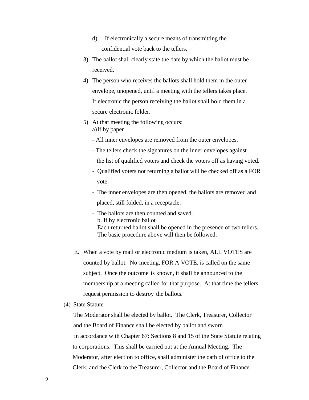- d) If electronically a secure means of transmitting the confidential vote back to the tellers.
- 3) The ballot shall clearly state the date by which the ballot must be received.
- 4) The person who receives the ballots shall hold them in the outer envelope, unopened, until a meeting with the tellers takes place. If electronic the person receiving the ballot shall hold them in a secure electronic folder.
- 5) At that meeting the following occurs: a)If by paper
	- All inner envelopes are removed from the outer envelopes.
	- The tellers check the signatures on the inner envelopes against the list of qualified voters and check the voters off as having voted.
	- Qualified voters not returning a ballot will be checked off as a FOR vote.
	- The inner envelopes are then opened, the ballots are removed and placed, still folded, in a receptacle.
	- The ballots are then counted and saved. b. If by electronic ballot Each returned ballot shall be opened in the presence of two tellers. The basic procedure above will then be followed.
- E. When a vote by mail or electronic medium is taken, ALL VOTES are counted by ballot. No meeting, FOR A VOTE, is called on the same subject. Once the outcome is known, it shall be announced to the membership at a meeting called for that purpose. At that time the tellers request permission to destroy the ballots.
- (4) State Statute

The Moderator shall be elected by ballot. The Clerk, Treasurer, Collector and the Board of Finance shall be elected by ballot and sworn in accordance with Chapter 67: Sections 8 and 15 of the State Statute relating to corporations. This shall be carried out at the Annual Meeting. The Moderator, after election to office, shall administer the oath of office to the Clerk, and the Clerk to the Treasurer, Collector and the Board of Finance.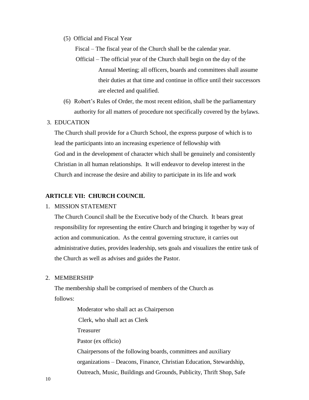(5) Official and Fiscal Year

Fiscal – The fiscal year of the Church shall be the calendar year.

- Official The official year of the Church shall begin on the day of the Annual Meeting; all officers, boards and committees shall assume their duties at that time and continue in office until their successors are elected and qualified.
- (6) Robert's Rules of Order, the most recent edition, shall be the parliamentary authority for all matters of procedure not specifically covered by the bylaws.

## 3. EDUCATION

The Church shall provide for a Church School, the express purpose of which is to lead the participants into an increasing experience of fellowship with God and in the development of character which shall be genuinely and consistently Christian in all human relationships. It will endeavor to develop interest in the Church and increase the desire and ability to participate in its life and work

#### **ARTICLE VII: CHURCH COUNCIL**

### 1. MISSION STATEMENT

The Church Council shall be the Executive body of the Church. It bears great responsibility for representing the entire Church and bringing it together by way of action and communication. As the central governing structure, it carries out administrative duties, provides leadership, sets goals and visualizes the entire task of the Church as well as advises and guides the Pastor.

#### 2. MEMBERSHIP

The membership shall be comprised of members of the Church as follows:

> Moderator who shall act as Chairperson Clerk, who shall act as Clerk Treasurer Pastor (ex officio) Chairpersons of the following boards, committees and auxiliary organizations – Deacons, Finance, Christian Education, Stewardship, Outreach, Music, Buildings and Grounds, Publicity, Thrift Shop, Safe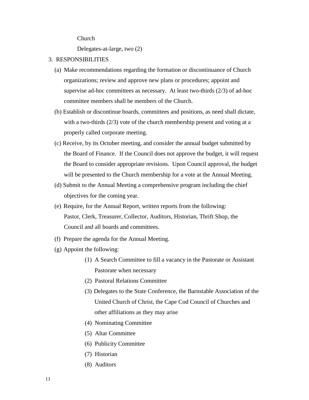Church

Delegates-at-large, two (2)

- 3. RESPONSIBILITIES
	- (a) Make recommendations regarding the formation or discontinuance of Church organizations; review and approve new plans or procedures; appoint and supervise ad-hoc committees as necessary. At least two-thirds (2/3) of ad-hoc committee members shall be members of the Church.
	- (b) Establish or discontinue boards, committees and positions, as need shall dictate, with a two-thirds (2/3) vote of the church membership present and voting at a properly called corporate meeting.
	- (c) Receive, by its October meeting, and consider the annual budget submitted by the Board of Finance. If the Council does not approve the budget, it will request the Board to consider appropriate revisions. Upon Council approval, the budget will be presented to the Church membership for a vote at the Annual Meeting.
	- (d) Submit to the Annual Meeting a comprehensive program including the chief objectives for the coming year.
	- (e) Require, for the Annual Report, written reports from the following: Pastor, Clerk, Treasurer, Collector, Auditors, Historian, Thrift Shop, the Council and all boards and committees.
	- (f) Prepare the agenda for the Annual Meeting.
	- (g) Appoint the following:
		- (1) A Search Committee to fill a vacancy in the Pastorate or Assistant Pastorate when necessary
		- (2) Pastoral Relations Committee
		- (3) Delegates to the State Conference, the Barnstable Association of the United Church of Christ, the Cape Cod Council of Churches and other affiliations as they may arise
		- (4) Nominating Committee
		- (5) Altar Committee
		- (6) Publicity Committee
		- (7) Historian
		- (8) Auditors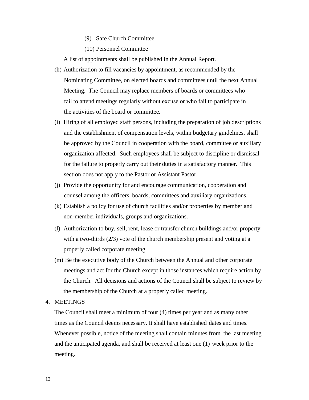- (9) Safe Church Committee
- (10) Personnel Committee

A list of appointments shall be published in the Annual Report.

- (h) Authorization to fill vacancies by appointment, as recommended by the Nominating Committee, on elected boards and committees until the next Annual Meeting. The Council may replace members of boards or committees who fail to attend meetings regularly without excuse or who fail to participate in the activities of the board or committee.
- (i) Hiring of all employed staff persons, including the preparation of job descriptions and the establishment of compensation levels, within budgetary guidelines, shall be approved by the Council in cooperation with the board, committee or auxiliary organization affected. Such employees shall be subject to discipline or dismissal for the failure to properly carry out their duties in a satisfactory manner. This section does not apply to the Pastor or Assistant Pastor.
- (j) Provide the opportunity for and encourage communication, cooperation and counsel among the officers, boards, committees and auxiliary organizations.
- (k) Establish a policy for use of church facilities and/or properties by member and non-member individuals, groups and organizations.
- (l) Authorization to buy, sell, rent, lease or transfer church buildings and/or property with a two-thirds (2/3) vote of the church membership present and voting at a properly called corporate meeting.
- (m) Be the executive body of the Church between the Annual and other corporate meetings and act for the Church except in those instances which require action by the Church. All decisions and actions of the Council shall be subject to review by the membership of the Church at a properly called meeting.
- 4. MEETINGS

The Council shall meet a minimum of four (4) times per year and as many other times as the Council deems necessary. It shall have established dates and times. Whenever possible, notice of the meeting shall contain minutes from the last meeting and the anticipated agenda, and shall be received at least one (1) week prior to the meeting.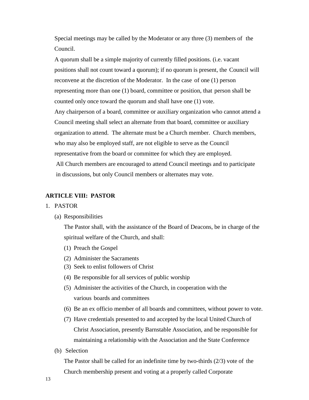Special meetings may be called by the Moderator or any three (3) members of the Council.

A quorum shall be a simple majority of currently filled positions. (i.e. vacant positions shall not count toward a quorum); if no quorum is present, the Council will reconvene at the discretion of the Moderator. In the case of one (1) person representing more than one (1) board, committee or position, that person shall be counted only once toward the quorum and shall have one (1) vote. Any chairperson of a board, committee or auxiliary organization who cannot attend a Council meeting shall select an alternate from that board, committee or auxiliary organization to attend. The alternate must be a Church member. Church members, who may also be employed staff, are not eligible to serve as the Council representative from the board or committee for which they are employed. All Church members are encouraged to attend Council meetings and to participate in discussions, but only Council members or alternates may vote.

## **ARTICLE VIII: PASTOR**

#### 1. PASTOR

#### (a) Responsibilities

The Pastor shall, with the assistance of the Board of Deacons, be in charge of the spiritual welfare of the Church, and shall:

- (1) Preach the Gospel
- (2) Administer the Sacraments
- (3) Seek to enlist followers of Christ
- (4) Be responsible for all services of public worship
- (5) Administer the activities of the Church, in cooperation with the various boards and committees
- (6) Be an ex officio member of all boards and committees, without power to vote.
- (7) Have credentials presented to and accepted by the local United Church of Christ Association, presently Barnstable Association, and be responsible for maintaining a relationship with the Association and the State Conference
- (b) Selection

The Pastor shall be called for an indefinite time by two-thirds (2/3) vote of the Church membership present and voting at a properly called Corporate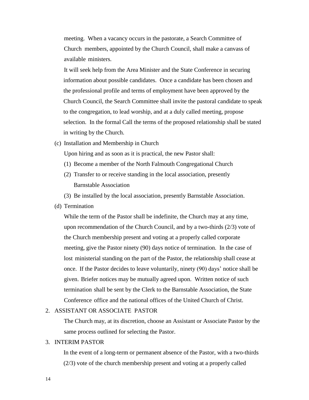meeting. When a vacancy occurs in the pastorate, a Search Committee of Church members, appointed by the Church Council, shall make a canvass of available ministers.

It will seek help from the Area Minister and the State Conference in securing information about possible candidates. Once a candidate has been chosen and the professional profile and terms of employment have been approved by the Church Council, the Search Committee shall invite the pastoral candidate to speak to the congregation, to lead worship, and at a duly called meeting, propose selection. In the formal Call the terms of the proposed relationship shall be stated in writing by the Church.

(c) Installation and Membership in Church

Upon hiring and as soon as it is practical, the new Pastor shall:

- (1) Become a member of the North Falmouth Congregational Church
- (2) Transfer to or receive standing in the local association, presently Barnstable Association
- (3) Be installed by the local association, presently Barnstable Association.
- (d) Termination

While the term of the Pastor shall be indefinite, the Church may at any time, upon recommendation of the Church Council, and by a two-thirds (2/3) vote of the Church membership present and voting at a properly called corporate meeting, give the Pastor ninety (90) days notice of termination. In the case of lost ministerial standing on the part of the Pastor, the relationship shall cease at once. If the Pastor decides to leave voluntarily, ninety (90) days' notice shall be given. Briefer notices may be mutually agreed upon. Written notice of such termination shall be sent by the Clerk to the Barnstable Association, the State Conference office and the national offices of the United Church of Christ.

#### 2. ASSISTANT OR ASSOCIATE PASTOR

The Church may, at its discretion, choose an Assistant or Associate Pastor by the same process outlined for selecting the Pastor.

#### 3. INTERIM PASTOR

In the event of a long-term or permanent absence of the Pastor, with a two-thirds (2/3) vote of the church membership present and voting at a properly called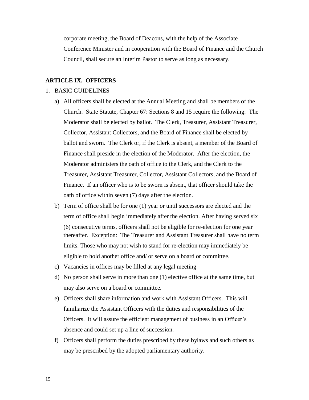corporate meeting, the Board of Deacons, with the help of the Associate Conference Minister and in cooperation with the Board of Finance and the Church Council, shall secure an Interim Pastor to serve as long as necessary.

## **ARTICLE IX. OFFICERS**

#### 1. BASIC GUIDELINES

- a) All officers shall be elected at the Annual Meeting and shall be members of the Church. State Statute, Chapter 67: Sections 8 and 15 require the following: The Moderator shall be elected by ballot. The Clerk, Treasurer, Assistant Treasurer, Collector, Assistant Collectors, and the Board of Finance shall be elected by ballot and sworn. The Clerk or, if the Clerk is absent, a member of the Board of Finance shall preside in the election of the Moderator. After the election, the Moderator administers the oath of office to the Clerk, and the Clerk to the Treasurer, Assistant Treasurer, Collector, Assistant Collectors, and the Board of Finance. If an officer who is to be sworn is absent, that officer should take the oath of office within seven (7) days after the election.
- b) Term of office shall be for one (1) year or until successors are elected and the term of office shall begin immediately after the election. After having served six (6) consecutive terms, officers shall not be eligible for re-election for one year thereafter. Exception: The Treasurer and Assistant Treasurer shall have no term limits. Those who may not wish to stand for re-election may immediately be eligible to hold another office and/ or serve on a board or committee.
- c) Vacancies in offices may be filled at any legal meeting
- d) No person shall serve in more than one (1) elective office at the same time, but may also serve on a board or committee.
- e) Officers shall share information and work with Assistant Officers. This will familiarize the Assistant Officers with the duties and responsibilities of the Officers. It will assure the efficient management of business in an Officer's absence and could set up a line of succession.
- f) Officers shall perform the duties prescribed by these bylaws and such others as may be prescribed by the adopted parliamentary authority.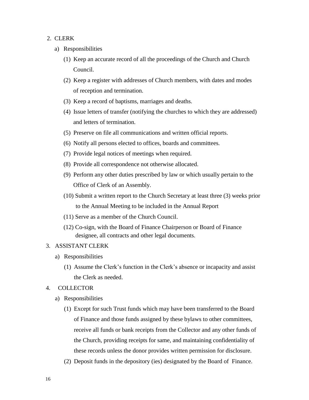## 2. CLERK

- a) Responsibilities
	- (1) Keep an accurate record of all the proceedings of the Church and Church Council.
	- (2) Keep a register with addresses of Church members, with dates and modes of reception and termination.
	- (3) Keep a record of baptisms, marriages and deaths.
	- (4) Issue letters of transfer (notifying the churches to which they are addressed) and letters of termination.
	- (5) Preserve on file all communications and written official reports.
	- (6) Notify all persons elected to offices, boards and committees.
	- (7) Provide legal notices of meetings when required.
	- (8) Provide all correspondence not otherwise allocated.
	- (9) Perform any other duties prescribed by law or which usually pertain to the Office of Clerk of an Assembly.
	- (10) Submit a written report to the Church Secretary at least three (3) weeks prior to the Annual Meeting to be included in the Annual Report
	- (11) Serve as a member of the Church Council.
	- (12) Co-sign, with the Board of Finance Chairperson or Board of Finance designee, all contracts and other legal documents.

#### 3. ASSISTANT CLERK

- a) Responsibilities
	- (1) Assume the Clerk's function in the Clerk's absence or incapacity and assist the Clerk as needed.
- 4. COLLECTOR
	- a) Responsibilities
		- (1) Except for such Trust funds which may have been transferred to the Board of Finance and those funds assigned by these bylaws to other committees, receive all funds or bank receipts from the Collector and any other funds of the Church, providing receipts for same, and maintaining confidentiality of these records unless the donor provides written permission for disclosure.
		- (2) Deposit funds in the depository (ies) designated by the Board of Finance.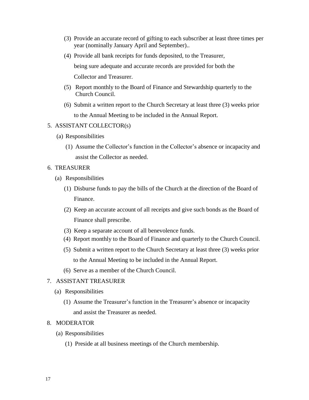- (3) Provide an accurate record of gifting to each subscriber at least three times per year (nominally January April and September)..
- (4) Provide all bank receipts for funds deposited, to the Treasurer,

being sure adequate and accurate records are provided for both the

Collector and Treasurer.

- (5) Report monthly to the Board of Finance and Stewardship quarterly to the Church Council.
- (6) Submit a written report to the Church Secretary at least three (3) weeks prior to the Annual Meeting to be included in the Annual Report.

#### 5. ASSISTANT COLLECTOR(s)

- (a) Responsibilities
	- (1) Assume the Collector's function in the Collector's absence or incapacity and assist the Collector as needed.
- 6. TREASURER
	- (a) Responsibilities
		- (1) Disburse funds to pay the bills of the Church at the direction of the Board of Finance.
		- (2) Keep an accurate account of all receipts and give such bonds as the Board of Finance shall prescribe.
		- (3) Keep a separate account of all benevolence funds.
		- (4) Report monthly to the Board of Finance and quarterly to the Church Council.
		- (5) Submit a written report to the Church Secretary at least three (3) weeks prior to the Annual Meeting to be included in the Annual Report.
		- (6) Serve as a member of the Church Council.

### 7. ASSISTANT TREASURER

- (a) Responsibilities
	- (1) Assume the Treasurer's function in the Treasurer's absence or incapacity and assist the Treasurer as needed.

#### 8. MODERATOR

- (a) Responsibilities
	- (1) Preside at all business meetings of the Church membership.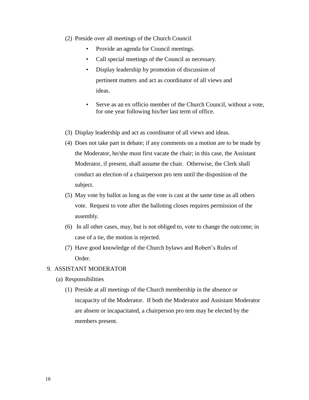- (2) Preside over all meetings of the Church Council
	- Provide an agenda for Council meetings.
	- Call special meetings of the Council as necessary.
	- Display leadership by promotion of discussion of pertinent matters and act as coordinator of all views and ideas.
	- Serve as an ex officio member of the Church Council, without a vote, for one year following his/her last term of office.
- (3) Display leadership and act as coordinator of all views and ideas.
- (4) Does not take part in debate; if any comments on a motion are to be made by the Moderator, he/she must first vacate the chair; in this case, the Assistant Moderator, if present, shall assume the chair. Otherwise, the Clerk shall conduct an election of a chairperson pro tem until the disposition of the subject.
- (5) May vote by ballot as long as the vote is cast at the same time as all others vote. Request to vote after the balloting closes requires permission of the assembly.
- (6) In all other cases, may, but is not obliged to, vote to change the outcome; in case of a tie, the motion is rejected.
- (7) Have good knowledge of the Church bylaws and Robert's Rules of Order.

## 9. ASSISTANT MODERATOR

- (a) Responsibilities
	- (1) Preside at all meetings of the Church membership in the absence or incapacity of the Moderator. If both the Moderator and Assistant Moderator are absent or incapacitated, a chairperson pro tem may be elected by the members present.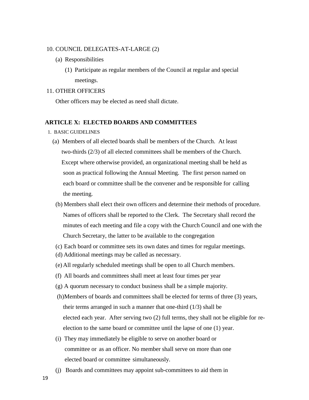#### 10. COUNCIL DELEGATES-AT-LARGE (2)

- (a) Responsibilities
	- (1) Participate as regular members of the Council at regular and special meetings.

#### 11. OTHER OFFICERS

Other officers may be elected as need shall dictate.

## **ARTICLE X: ELECTED BOARDS AND COMMITTEES**

- 1. BASIC GUIDELINES
	- (a) Members of all elected boards shall be members of the Church. At least two-thirds (2/3) of all elected committees shall be members of the Church. Except where otherwise provided, an organizational meeting shall be held as soon as practical following the Annual Meeting. The first person named on each board or committee shall be the convener and be responsible for calling the meeting.
	- (b) Members shall elect their own officers and determine their methods of procedure. Names of officers shall be reported to the Clerk. The Secretary shall record the minutes of each meeting and file a copy with the Church Council and one with the Church Secretary, the latter to be available to the congregation
	- (c) Each board or committee sets its own dates and times for regular meetings.
	- (d) Additional meetings may be called as necessary.
	- (e) All regularly scheduled meetings shall be open to all Church members.
	- (f) All boards and committees shall meet at least four times per year
	- (g) A quorum necessary to conduct business shall be a simple majority.
	- (h)Members of boards and committees shall be elected for terms of three (3) years, their terms arranged in such a manner that one-third (1/3) shall be elected each year. After serving two (2) full terms, they shall not be eligible for reelection to the same board or committee until the lapse of one (1) year.
	- (i) They may immediately be eligible to serve on another board or committee or as an officer. No member shall serve on more than one elected board or committee simultaneously.
	- (j) Boards and committees may appoint sub-committees to aid them in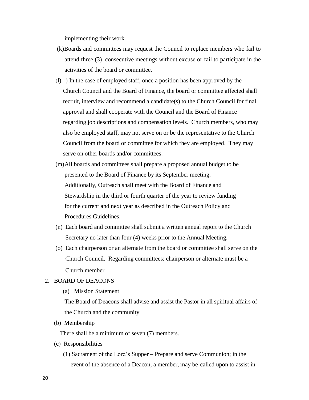implementing their work.

- (k)Boards and committees may request the Council to replace members who fail to attend three (3) consecutive meetings without excuse or fail to participate in the activities of the board or committee.
- (l) ) In the case of employed staff, once a position has been approved by the Church Council and the Board of Finance, the board or committee affected shall recruit, interview and recommend a candidate(s) to the Church Council for final approval and shall cooperate with the Council and the Board of Finance regarding job descriptions and compensation levels. Church members, who may also be employed staff, may not serve on or be the representative to the Church Council from the board or committee for which they are employed. They may serve on other boards and/or committees.
- (m)All boards and committees shall prepare a proposed annual budget to be presented to the Board of Finance by its September meeting. Additionally, Outreach shall meet with the Board of Finance and Stewardship in the third or fourth quarter of the year to review funding for the current and next year as described in the Outreach Policy and Procedures Guidelines.
- (n) Each board and committee shall submit a written annual report to the Church Secretary no later than four (4) weeks prior to the Annual Meeting.
- (o) Each chairperson or an alternate from the board or committee shall serve on the Church Council. Regarding committees: chairperson or alternate must be a Church member.

### 2. BOARD OF DEACONS

(a) Mission Statement

The Board of Deacons shall advise and assist the Pastor in all spiritual affairs of the Church and the community

(b) Membership

There shall be a minimum of seven (7) members.

- (c) Responsibilities
	- (1) Sacrament of the Lord's Supper Prepare and serve Communion; in the event of the absence of a Deacon, a member, may be called upon to assist in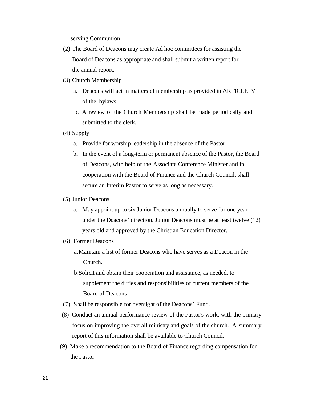serving Communion.

- (2) The Board of Deacons may create Ad hoc committees for assisting the Board of Deacons as appropriate and shall submit a written report for the annual report.
- (3) Church Membership
	- a. Deacons will act in matters of membership as provided in ARTICLE V of the bylaws.
	- b. A review of the Church Membership shall be made periodically and submitted to the clerk.
- (4) Supply
	- a. Provide for worship leadership in the absence of the Pastor.
	- b. In the event of a long-term or permanent absence of the Pastor, the Board of Deacons, with help of the Associate Conference Minister and in cooperation with the Board of Finance and the Church Council, shall secure an Interim Pastor to serve as long as necessary.
- (5) Junior Deacons
	- a. May appoint up to six Junior Deacons annually to serve for one year under the Deacons' direction. Junior Deacons must be at least twelve (12) years old and approved by the Christian Education Director.
- (6) Former Deacons
	- a.Maintain a list of former Deacons who have serves as a Deacon in the Church.
	- b.Solicit and obtain their cooperation and assistance, as needed, to supplement the duties and responsibilities of current members of the Board of Deacons
- (7) Shall be responsible for oversight of the Deacons' Fund.
- (8) Conduct an annual performance review of the Pastor's work, with the primary focus on improving the overall ministry and goals of the church. A summary report of this information shall be available to Church Council.
- (9) Make a recommendation to the Board of Finance regarding compensation for the Pastor.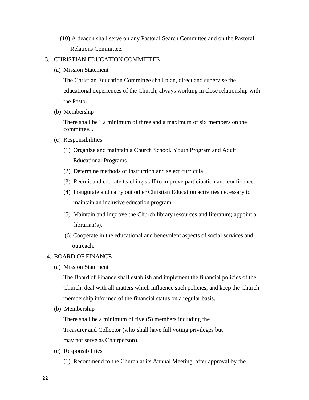(10) A deacon shall serve on any Pastoral Search Committee and on the Pastoral Relations Committee.

## 3. CHRISTIAN EDUCATION COMMITTEE

(a) Mission Statement

The Christian Education Committee shall plan, direct and supervise the educational experiences of the Church, always working in close relationship with the Pastor.

(b) Membership

There shall be " a minimum of three and a maximum of six members on the committee. .

- (c) Responsibilities
	- (1) Organize and maintain a Church School, Youth Program and Adult Educational Programs
	- (2) Determine methods of instruction and select curricula.
	- (3) Recruit and educate teaching staff to improve participation and confidence.
	- (4) Inaugurate and carry out other Christian Education activities necessary to maintain an inclusive education program.
	- (5) Maintain and improve the Church library resources and literature; appoint a librarian(s).
	- (6) Cooperate in the educational and benevolent aspects of social services and outreach.

## 4. BOARD OF FINANCE

(a) Mission Statement

The Board of Finance shall establish and implement the financial policies of the Church, deal with all matters which influence such policies, and keep the Church membership informed of the financial status on a regular basis.

(b) Membership

There shall be a minimum of five (5) members including the Treasurer and Collector (who shall have full voting privileges but may not serve as Chairperson).

- (c) Responsibilities
	- (1) Recommend to the Church at its Annual Meeting, after approval by the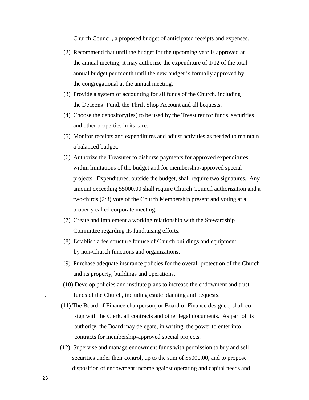Church Council, a proposed budget of anticipated receipts and expenses.

- (2) Recommend that until the budget for the upcoming year is approved at the annual meeting, it may authorize the expenditure of 1/12 of the total annual budget per month until the new budget is formally approved by the congregational at the annual meeting.
- (3) Provide a system of accounting for all funds of the Church, including the Deacons' Fund, the Thrift Shop Account and all bequests.
- (4) Choose the depository(ies) to be used by the Treasurer for funds, securities and other properties in its care.
- (5) Monitor receipts and expenditures and adjust activities as needed to maintain a balanced budget.
- (6) Authorize the Treasurer to disburse payments for approved expenditures within limitations of the budget and for membership-approved special projects. Expenditures, outside the budget, shall require two signatures. Any amount exceeding \$5000.00 shall require Church Council authorization and a two-thirds (2/3) vote of the Church Membership present and voting at a properly called corporate meeting.
- (7) Create and implement a working relationship with the Stewardship Committee regarding its fundraising efforts.
- (8) Establish a fee structure for use of Church buildings and equipment by non-Church functions and organizations.
- (9) Purchase adequate insurance policies for the overall protection of the Church and its property, buildings and operations.
- (10) Develop policies and institute plans to increase the endowment and trust . funds of the Church, including estate planning and bequests.
- (11) The Board of Finance chairperson, or Board of Finance designee, shall cosign with the Clerk, all contracts and other legal documents. As part of its authority, the Board may delegate, in writing, the power to enter into contracts for membership-approved special projects.
- (12) Supervise and manage endowment funds with permission to buy and sell securities under their control, up to the sum of \$5000.00, and to propose disposition of endowment income against operating and capital needs and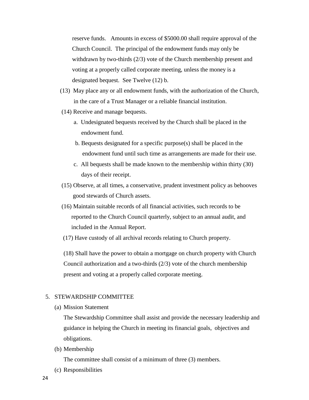reserve funds. Amounts in excess of \$5000.00 shall require approval of the Church Council. The principal of the endowment funds may only be withdrawn by two-thirds (2/3) vote of the Church membership present and voting at a properly called corporate meeting, unless the money is a designated bequest. See Twelve (12) b.

- (13) May place any or all endowment funds, with the authorization of the Church, in the care of a Trust Manager or a reliable financial institution.
- (14) Receive and manage bequests.
	- a. Undesignated bequests received by the Church shall be placed in the endowment fund.
	- b. Bequests designated for a specific purpose(s) shall be placed in the endowment fund until such time as arrangements are made for their use.
	- c. All bequests shall be made known to the membership within thirty (30) days of their receipt.
- (15) Observe, at all times, a conservative, prudent investment policy as behooves good stewards of Church assets.
- (16) Maintain suitable records of all financial activities, such records to be reported to the Church Council quarterly, subject to an annual audit, and included in the Annual Report.
- (17) Have custody of all archival records relating to Church property.

(18) Shall have the power to obtain a mortgage on church property with Church Council authorization and a two-thirds (2/3) vote of the church membership present and voting at a properly called corporate meeting.

#### 5. STEWARDSHIP COMMITTEE

(a) Mission Statement

The Stewardship Committee shall assist and provide the necessary leadership and guidance in helping the Church in meeting its financial goals, objectives and obligations.

(b) Membership

The committee shall consist of a minimum of three (3) members.

(c) Responsibilities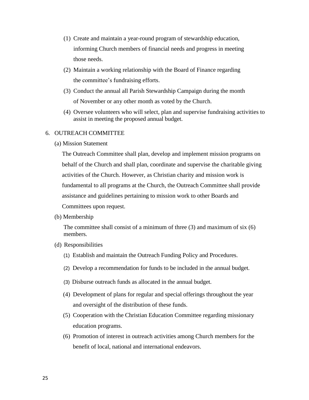- (1) Create and maintain a year-round program of stewardship education, informing Church members of financial needs and progress in meeting those needs.
- (2) Maintain a working relationship with the Board of Finance regarding the committee's fundraising efforts.
- (3) Conduct the annual all Parish Stewardship Campaign during the month of November or any other month as voted by the Church.
- (4) Oversee volunteers who will select, plan and supervise fundraising activities to assist in meeting the proposed annual budget.

## 6. OUTREACH COMMITTEE

(a) Mission Statement

The Outreach Committee shall plan, develop and implement mission programs on behalf of the Church and shall plan, coordinate and supervise the charitable giving activities of the Church. However, as Christian charity and mission work is fundamental to all programs at the Church, the Outreach Committee shall provide assistance and guidelines pertaining to mission work to other Boards and Committees upon request.

(b) Membership

The committee shall consist of a minimum of three  $(3)$  and maximum of six  $(6)$ members.

- (d) Responsibilities
	- (1) Establish and maintain the Outreach Funding Policy and Procedures.
	- (2) Develop a recommendation for funds to be included in the annual budget.
	- (3) Disburse outreach funds as allocated in the annual budget.
	- (4) Development of plans for regular and special offerings throughout the year and oversight of the distribution of these funds.
	- (5) Cooperation with the Christian Education Committee regarding missionary education programs.
	- (6) Promotion of interest in outreach activities among Church members for the benefit of local, national and international endeavors.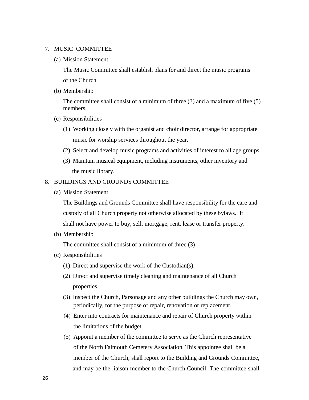#### 7. MUSIC COMMITTEE

(a) Mission Statement

The Music Committee shall establish plans for and direct the music programs of the Church.

(b) Membership

The committee shall consist of a minimum of three (3) and a maximum of five (5) members.

- (c) Responsibilities
	- (1) Working closely with the organist and choir director, arrange for appropriate music for worship services throughout the year.
	- (2) Select and develop music programs and activities of interest to all age groups.
	- (3) Maintain musical equipment, including instruments, other inventory and the music library.

#### 8. BUILDINGS AND GROUNDS COMMITTEE

(a) Mission Statement

The Buildings and Grounds Committee shall have responsibility for the care and custody of all Church property not otherwise allocated by these bylaws. It shall not have power to buy, sell, mortgage, rent, lease or transfer property.

(b) Membership

The committee shall consist of a minimum of three (3)

- (c) Responsibilities
	- (1) Direct and supervise the work of the Custodian(s).
	- (2) Direct and supervise timely cleaning and maintenance of all Church properties.
	- (3) Inspect the Church, Parsonage and any other buildings the Church may own, periodically, for the purpose of repair, renovation or replacement.
	- (4) Enter into contracts for maintenance and repair of Church property within the limitations of the budget.
	- (5) Appoint a member of the committee to serve as the Church representative of the North Falmouth Cemetery Association. This appointee shall be a member of the Church, shall report to the Building and Grounds Committee, and may be the liaison member to the Church Council. The committee shall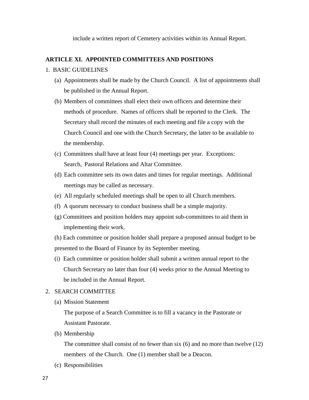include a written report of Cemetery activities within its Annual Report.

### **ARTICLE XI. APPOINTED COMMITTEES AND POSITIONS**

#### 1. BASIC GUIDELINES

- (a) Appointments shall be made by the Church Council. A list of appointments shall be published in the Annual Report.
- (b) Members of committees shall elect their own officers and determine their methods of procedure. Names of officers shall be reported to the Clerk. The Secretary shall record the minutes of each meeting and file a copy with the Church Council and one with the Church Secretary, the latter to be available to the membership.
- (c) Committees shall have at least four (4) meetings per year. Exceptions: Search, Pastoral Relations and Altar Committee.
- (d) Each committee sets its own dates and times for regular meetings. Additional meetings may be called as necessary.
- (e) All regularly scheduled meetings shall be open to all Church members.
- (f) A quorum necessary to conduct business shall be a simple majority.
- (g) Committees and position holders may appoint sub-committees to aid them in implementing their work.
- (h) Each committee or position holder shall prepare a proposed annual budget to be presented to the Board of Finance by its September meeting.
- (i) Each committee or position holder shall submit a written annual report to the Church Secretary no later than four (4) weeks prior to the Annual Meeting to be included in the Annual Report.

## 2. SEARCH COMMITTEE

(a) Mission Statement

The purpose of a Search Committee is to fill a vacancy in the Pastorate or Assistant Pastorate.

(b) Membership

The committee shall consist of no fewer than six (6) and no more than twelve (12) members of the Church. One (1) member shall be a Deacon.

(c) Responsibilities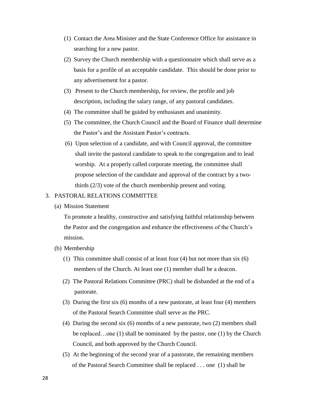- (1) Contact the Area Minister and the State Conference Office for assistance in searching for a new pastor.
- (2) Survey the Church membership with a questionnaire which shall serve as a basis for a profile of an acceptable candidate. This should be done prior to any advertisement for a pastor.
- (3) Present to the Church membership, for review, the profile and job description, including the salary range, of any pastoral candidates.
- (4) The committee shall be guided by enthusiasm and unanimity.
- (5) The committee, the Church Council and the Board of Finance shall determine the Pastor's and the Assistant Pastor's contracts.
- (6) Upon selection of a candidate, and with Council approval, the committee shall invite the pastoral candidate to speak to the congregation and to lead worship. At a properly called corporate meeting, the committee shall propose selection of the candidate and approval of the contract by a twothirds (2/3) vote of the church membership present and voting.

## 3. PASTORAL RELATIONS COMMITTEE

(a) Mission Statement

To promote a healthy, constructive and satisfying faithful relationship between the Pastor and the congregation and enhance the effectiveness of the Church's mission.

- (b) Membership
	- (1) This committee shall consist of at least four (4) but not more than six (6) members of the Church. At least one (1) member shall be a deacon.
	- (2) The Pastoral Relations Committee (PRC) shall be disbanded at the end of a pastorate.
	- (3) During the first six (6) months of a new pastorate, at least four (4) members of the Pastoral Search Committee shall serve as the PRC.
	- (4) During the second six (6) months of a new pastorate, two (2) members shall be replaced…one (1) shall be nominated by the pastor, one (1) by the Church Council, and both approved by the Church Council.
	- (5) At the beginning of the second year of a pastorate, the remaining members of the Pastoral Search Committee shall be replaced . . . one (1) shall be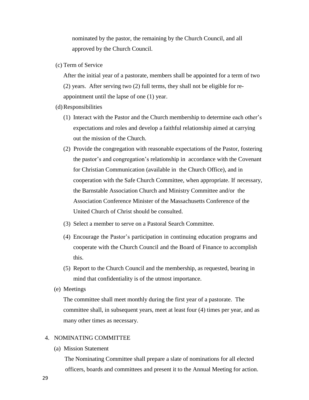nominated by the pastor, the remaining by the Church Council, and all approved by the Church Council.

(c) Term of Service

After the initial year of a pastorate, members shall be appointed for a term of two (2) years. After serving two (2) full terms, they shall not be eligible for reappointment until the lapse of one (1) year.

- (d)Responsibilities
	- (1) Interact with the Pastor and the Church membership to determine each other's expectations and roles and develop a faithful relationship aimed at carrying out the mission of the Church.
	- (2) Provide the congregation with reasonable expectations of the Pastor, fostering the pastor's and congregation's relationship in accordance with the Covenant for Christian Communication (available in the Church Office), and in cooperation with the Safe Church Committee, when appropriate. If necessary, the Barnstable Association Church and Ministry Committee and/or the Association Conference Minister of the Massachusetts Conference of the United Church of Christ should be consulted.
	- (3) Select a member to serve on a Pastoral Search Committee.
	- (4) Encourage the Pastor's participation in continuing education programs and cooperate with the Church Council and the Board of Finance to accomplish this.
	- (5) Report to the Church Council and the membership, as requested, bearing in mind that confidentiality is of the utmost importance.
- (e) Meetings

The committee shall meet monthly during the first year of a pastorate. The committee shall, in subsequent years, meet at least four (4) times per year, and as many other times as necessary.

#### 4. NOMINATING COMMITTEE

(a) Mission Statement

The Nominating Committee shall prepare a slate of nominations for all elected officers, boards and committees and present it to the Annual Meeting for action.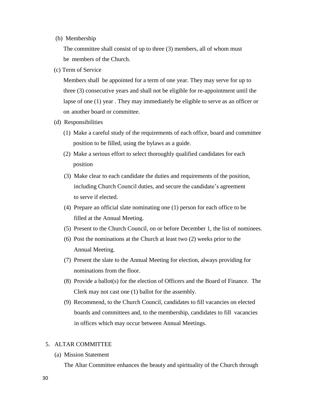#### (b) Membership

The committee shall consist of up to three (3) members, all of whom must be members of the Church.

(c) Term of Service

Members shall be appointed for a term of one year. They may serve for up to three (3) consecutive years and shall not be eligible for re-appointment until the lapse of one (1) year . They may immediately be eligible to serve as an officer or on another board or committee.

- (d) Responsibilities
	- (1) Make a careful study of the requirements of each office, board and committee position to be filled, using the bylaws as a guide.
	- (2) Make a serious effort to select thoroughly qualified candidates for each position
	- (3) Make clear to each candidate the duties and requirements of the position, including Church Council duties, and secure the candidate's agreement to serve if elected.
	- (4) Prepare an official slate nominating one (1) person for each office to be filled at the Annual Meeting.
	- (5) Present to the Church Council, on or before December 1, the list of nominees.
	- (6) Post the nominations at the Church at least two (2) weeks prior to the Annual Meeting.
	- (7) Present the slate to the Annual Meeting for election, always providing for nominations from the floor.
	- (8) Provide a ballot(s) for the election of Officers and the Board of Finance. The Clerk may not cast one (1) ballot for the assembly.
	- (9) Recommend, to the Church Council, candidates to fill vacancies on elected boards and committees and, to the membership, candidates to fill vacancies in offices which may occur between Annual Meetings.

#### 5. ALTAR COMMITTEE

(a) Mission Statement

The Altar Committee enhances the beauty and spirituality of the Church through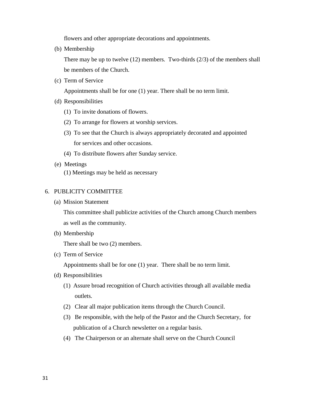flowers and other appropriate decorations and appointments.

(b) Membership

There may be up to twelve (12) members. Two-thirds (2/3) of the members shall be members of the Church.

(c) Term of Service

Appointments shall be for one (1) year. There shall be no term limit.

- (d) Responsibilities
	- (1) To invite donations of flowers.
	- (2) To arrange for flowers at worship services.
	- (3) To see that the Church is always appropriately decorated and appointed for services and other occasions.
	- (4) To distribute flowers after Sunday service.
- (e) Meetings (1) Meetings may be held as necessary

## 6. PUBLICITY COMMITTEE

(a) Mission Statement

This committee shall publicize activities of the Church among Church members as well as the community.

(b) Membership

There shall be two (2) members.

(c) Term of Service

Appointments shall be for one (1) year. There shall be no term limit.

- (d) Responsibilities
	- (1) Assure broad recognition of Church activities through all available media outlets.
	- (2) Clear all major publication items through the Church Council.
	- (3) Be responsible, with the help of the Pastor and the Church Secretary, for publication of a Church newsletter on a regular basis.
	- (4) The Chairperson or an alternate shall serve on the Church Council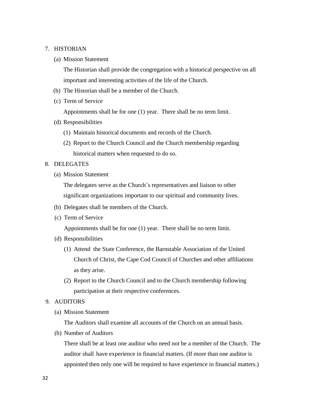#### 7. HISTORIAN

(a) Mission Statement

The Historian shall provide the congregation with a historical perspective on all important and interesting activities of the life of the Church.

- (b) The Historian shall be a member of the Church.
- (c) Term of Service

Appointments shall be for one (1) year. There shall be no term limit.

- (d) Responsibilities
	- (1) Maintain historical documents and records of the Church.
	- (2) Report to the Church Council and the Church membership regarding historical matters when requested to do so.
- 8. DELEGATES
	- (a) Mission Statement

The delegates serve as the Church's representatives and liaison to other significant organizations important to our spiritual and community lives.

- (b) Delegates shall be members of the Church.
- (c) Term of Service

Appointments shall be for one (1) year. There shall be no term limit.

- (d) Responsibilities
	- (1) Attend the State Conference, the Barnstable Association of the United Church of Christ, the Cape Cod Council of Churches and other affiliations as they arise.
	- (2) Report to the Church Council and to the Church membership following participation at their respective conferences.
- 9. AUDITORS
	- (a) Mission Statement

The Auditors shall examine all accounts of the Church on an annual basis.

(b) Number of Auditors

There shall be at least one auditor who need not be a member of the Church. The auditor shall have experience in financial matters. (If more than one auditor is appointed then only one will be required to have experience in financial matters.)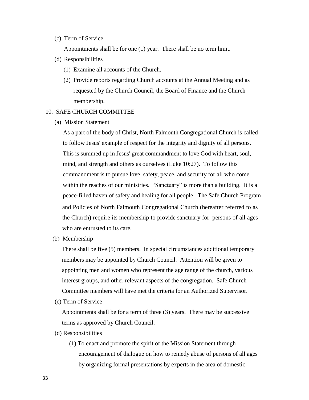(c) Term of Service

Appointments shall be for one (1) year. There shall be no term limit.

- (d) Responsibilities
	- (1) Examine all accounts of the Church.
	- (2) Provide reports regarding Church accounts at the Annual Meeting and as requested by the Church Council, the Board of Finance and the Church membership.

#### 10. SAFE CHURCH COMMITTEE

(a) Mission Statement

As a part of the body of Christ, North Falmouth Congregational Church is called to follow Jesus' example of respect for the integrity and dignity of all persons. This is summed up in Jesus' great commandment to love God with heart, soul, mind, and strength and others as ourselves (Luke 10:27). To follow this commandment is to pursue love, safety, peace, and security for all who come within the reaches of our ministries. "Sanctuary" is more than a building. It is a peace-filled haven of safety and healing for all people. The Safe Church Program and Policies of North Falmouth Congregational Church (hereafter referred to as the Church) require its membership to provide sanctuary for persons of all ages who are entrusted to its care.

(b) Membership

There shall be five (5) members. In special circumstances additional temporary members may be appointed by Church Council. Attention will be given to appointing men and women who represent the age range of the church, various interest groups, and other relevant aspects of the congregation. Safe Church Committee members will have met the criteria for an Authorized Supervisor.

(c) Term of Service

Appointments shall be for a term of three (3) years. There may be successive terms as approved by Church Council.

- (d) Responsibilities
	- (1) To enact and promote the spirit of the Mission Statement through encouragement of dialogue on how to remedy abuse of persons of all ages by organizing formal presentations by experts in the area of domestic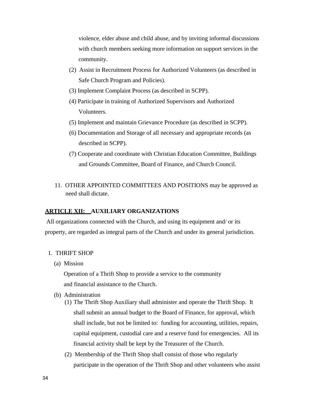violence, elder abuse and child abuse, and by inviting informal discussions with church members seeking more information on support services in the community.

- (2) Assist in Recruitment Process for Authorized Volunteers (as described in Safe Church Program and Policies).
- (3) Implement Complaint Process (as described in SCPP).
- (4) Participate in training of Authorized Supervisors and Authorized Volunteers.
- (5) Implement and maintain Grievance Procedure (as described in SCPP).
- (6) Documentation and Storage of all necessary and appropriate records (as described in SCPP).
- (7) Cooperate and coordinate with Christian Education Committee, Buildings and Grounds Committee, Board of Finance, and Church Council.
- 11. OTHER APPOINTED COMMITTEES AND POSITIONS may be approved as need shall dictate.

## **ARTICLE XII: AUXILIARY ORGANIZATIONS**

All organizations connected with the Church, and using its equipment and/ or its property, are regarded as integral parts of the Church and under its general jurisdiction.

## 1. THRIFT SHOP

(a) Mission

Operation of a Thrift Shop to provide a service to the community and financial assistance to the Church.

- (b) Administration
	- (1) The Thrift Shop Auxiliary shall administer and operate the Thrift Shop. It shall submit an annual budget to the Board of Finance, for approval, which shall include, but not be limited to: funding for accounting, utilities, repairs, capital equipment, custodial care and a reserve fund for emergencies. All its financial activity shall be kept by the Treasurer of the Church.
	- (2) Membership of the Thrift Shop shall consist of those who regularly participate in the operation of the Thrift Shop and other volunteers who assist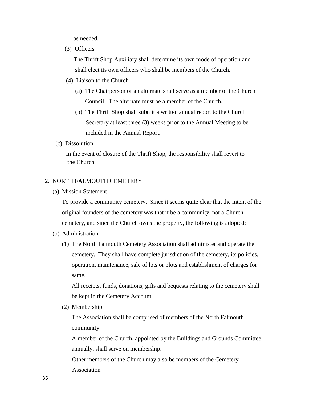as needed.

(3) Officers

The Thrift Shop Auxiliary shall determine its own mode of operation and shall elect its own officers who shall be members of the Church.

- (4) Liaison to the Church
	- (a) The Chairperson or an alternate shall serve as a member of the Church Council. The alternate must be a member of the Church.
	- (b) The Thrift Shop shall submit a written annual report to the Church Secretary at least three (3) weeks prior to the Annual Meeting to be included in the Annual Report.
- (c) Dissolution

In the event of closure of the Thrift Shop, the responsibility shall revert to the Church.

### 2. NORTH FALMOUTH CEMETERY

(a) Mission Statement

To provide a community cemetery. Since it seems quite clear that the intent of the original founders of the cemetery was that it be a community, not a Church cemetery, and since the Church owns the property, the following is adopted:

- (b) Administration
	- (1) The North Falmouth Cemetery Association shall administer and operate the cemetery. They shall have complete jurisdiction of the cemetery, its policies, operation, maintenance, sale of lots or plots and establishment of charges for same.

All receipts, funds, donations, gifts and bequests relating to the cemetery shall be kept in the Cemetery Account.

(2) Membership

The Association shall be comprised of members of the North Falmouth community.

A member of the Church, appointed by the Buildings and Grounds Committee annually, shall serve on membership.

Other members of the Church may also be members of the Cemetery Association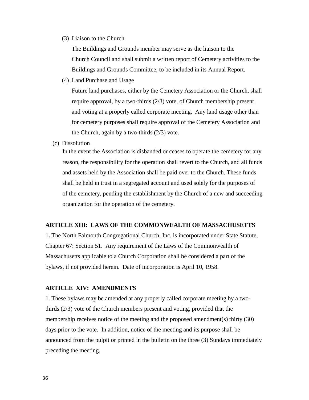(3) Liaison to the Church

The Buildings and Grounds member may serve as the liaison to the Church Council and shall submit a written report of Cemetery activities to the Buildings and Grounds Committee, to be included in its Annual Report.

(4) Land Purchase and Usage

Future land purchases, either by the Cemetery Association or the Church, shall require approval, by a two-thirds (2/3) vote, of Church membership present and voting at a properly called corporate meeting. Any land usage other than for cemetery purposes shall require approval of the Cemetery Association and the Church, again by a two-thirds (2/3) vote.

(c) Dissolution

In the event the Association is disbanded or ceases to operate the cemetery for any reason, the responsibility for the operation shall revert to the Church, and all funds and assets held by the Association shall be paid over to the Church. These funds shall be held in trust in a segregated account and used solely for the purposes of of the cemetery, pending the establishment by the Church of a new and succeeding organization for the operation of the cemetery.

### **ARTICLE XIII: LAWS OF THE COMMONWEALTH OF MASSACHUSETTS**

1**.** The North Falmouth Congregational Church, Inc. is incorporated under State Statute, Chapter 67: Section 51. Any requirement of the Laws of the Commonwealth of Massachusetts applicable to a Church Corporation shall be considered a part of the bylaws, if not provided herein. Date of incorporation is April 10, 1958.

#### **ARTICLE XIV: AMENDMENTS**

1. These bylaws may be amended at any properly called corporate meeting by a twothirds (2/3) vote of the Church members present and voting, provided that the membership receives notice of the meeting and the proposed amendment(s) thirty (30) days prior to the vote. In addition, notice of the meeting and its purpose shall be announced from the pulpit or printed in the bulletin on the three (3) Sundays immediately preceding the meeting.